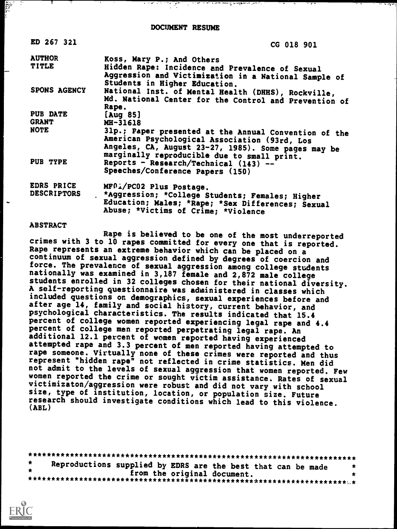DOCUMENT RESUME

्षः । का राज्यकाशस्तु प्रकाशिकाका अक्ता,

| ED 267 321         | <b>CG 018 901</b>                                                                     |
|--------------------|---------------------------------------------------------------------------------------|
| <b>AUTHOR</b>      | Koss, Mary P.; And Others                                                             |
| TITLE              | Hidden Rape: Incidence and Prevalence of Sexual                                       |
|                    | Aggression and Victimization in a National Sample of<br>Students in Higher Education. |
| SPONS AGENCY       |                                                                                       |
|                    | National Inst. of Mental Health (DHHS), Rockville,                                    |
|                    | Md. National Center for the Control and Prevention of                                 |
|                    | Rape.                                                                                 |
| <b>PUB DATE</b>    | [Aug 85]                                                                              |
| <b>GRANT</b>       | MH-31618                                                                              |
| NOTE               | 31p.; Paper presented at the Annual Convention of the                                 |
|                    | American Psychological Association (93rd, Los                                         |
|                    | Angeles, CA, August 23-27, 1985). Some pages may be                                   |
|                    | marginally reproducible due to small print.                                           |
| PUB TYPE           | Reports - Research/Technical (143) --                                                 |
|                    | Speeches/Conference Papers (150)                                                      |
| <b>EDRS PRICE</b>  | MF01/PC02 Plus Postage.                                                               |
| <b>DESCRIPTORS</b> | *Aggression; *College Students; Females; Higher                                       |
|                    | Education; Males; *Rape; *Sex Differences; Sexual                                     |
|                    |                                                                                       |

Abuse; \*Victims of Crime; \*Violence

#### **ABSTRACT**

ilin.<br>Bir

 $\ddot{\phantom{0}}$ 

Rape is believed to be one of the most underreported crimes with 3 to 10 rapes committed for every one that is reported. Rape represents an extreme behavior which can be placed on a continuum of sexual aggression defined by degrees of coercion and force. The prevalence of sexual aggression among college students nationally was examined in 3,187 female and 2,872 male college<br>students enrolled in 32 colleges chosen for their national diversity. A self-reporting questionnaire was administered in classes which included questions on demographics, sexual experiences before and after age 14, family and social history, current behavior, and psychological characteristics. The results indicated that 15.4 percent of college women reported experiencing legal rape and 4.4 percent of college men reported perpetrating legal rape. An additional 12.1 percent of women reported having experienced attempted rape and 3.3 percent of men reported having attempted to rape someone. Virtually none of these crimes were reported and thus represent "hidden rape" not reflected in crime statistics. Men did not admit to the levels of sexual aggression that women reported. Few women reported the crime or sought victim assistance. Rates of sexual victimizaton/aggression were robust and did not vary with school size, type of institution, location, or population size. Future research should investigate conditions which lead to this violence. (ABL)

| $\star$ | Reproductions supplied by EDRS are the best that can be made |  |
|---------|--------------------------------------------------------------|--|
|         | from the original document.                                  |  |
|         |                                                              |  |

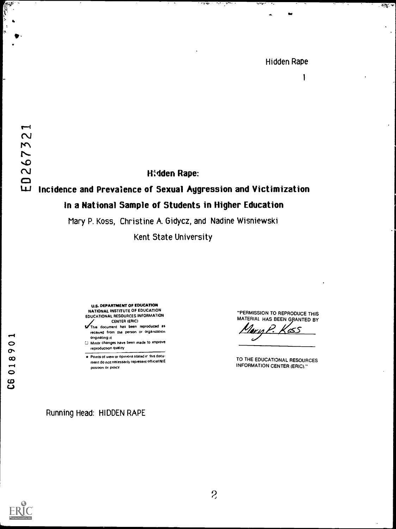$\mathbf{I}$ 

 $\sqrt{2}$ 

 $\overline{\mathcal{C}}$ ED2673

حيه جه

### ligaen Rape:<br>City is a constant of the city of the city of the city of the city of the city of the city of the city of the<br>City of the city of the city of the city of the city of the city of the city of the city of the cit 1-1-I Incidence and Prevalence of Sexual Aggression and Victimization

### In a National Sample of Students in Higher Education

Mary P. Koss, Christine A. Gidycz, and Nadine Wisniewski

Kent State University

U.S DEPARTMENT OF EDUCATION NATIONAL INSTITUTE OF EDUCATION EDUCATIONAL RESOURCES INFORMATION CENTER (ERIC)

- S/This document has been reproduced as received from the person or organization originating it
- U Minor changes have been made to improve reproduction Quality
- **.** Points of view or opinions stated in this document do not necessarily represent official NIE position or policy

"PERMISSION TO REPRODUCE THIS MATERIAL HAS BEEN GRANTED BY

 $\frac{25}{100}$ rn P.

TO THE EDUCATIONAL RESOURCES INFORMATION CENTER (ERIC)."

### Running Head: HIDDEN RAPE

 $\circ$ 

01891

ပ္ပ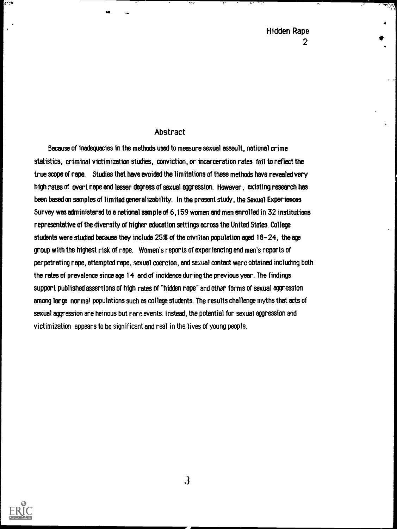#### Abstract

Because of inadequacies in the methods used to measure sexual assault, national crime statistics, criminal victimization studies, conviction, or incarceration rates fail to reflect the true scope of rape. Studies that have avoided the limitations of these methods have revealed very high rates of overt rape and lesser degrees of sexual aggression. However, existing research has been based on samples of limited generalizability. In the present study, the Sexual Experiences Survey was administered to a national sample of 6,159 women and men enrolled in 32 institutions representative of the diversity of higher education settings across the United States. College students were studied because they include 25% of the civilian population aged 18-24, the age group with the highest risk of rape. Women's reports of experiencing and men's reports of perpetrating rape, attempted rape, sexual coercion, and sexual contact were obtained including both the rates of prevalence since age 14 and of incidence during the previous year. The findings support published assertions of high rates of "hidden rape" and other forms of sexual aggression among large normal populations such as college students. The results challenge myths that acts of sexual aggression are heinous but rare events. Instead, the potential for sexual aggression and victimization appears to be significant and real in the lives of young people.



يو - دو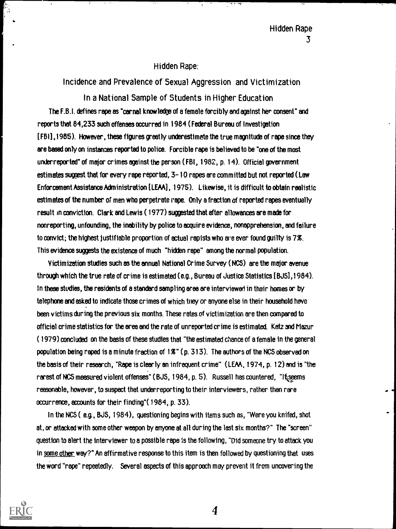#### Hidden Rape:

## Incidence and Prevalence of Sexual Aggression and Victimization

### In a National Sample of Students in Higher Education

The F.B.I. defines rape as "carnal knowledge of a female forcibly and against her consent" and reports that 84,233 such offenses occurred in 1984 (Federal Bureau of Investigation [FBI] ,1985). However, these figures greatly underestimate the true magnitude of rape since they are based only on instances reported to police. Forcible rape is believed to be "one of the most underreported" of major crimes against the person (FBI, 1982, p. 14). Official government estimates suggest that for every rape reported, 3-10 rapes are committed but not reported (Law Enforcement Assistance Administration [LEM], 1975). Likewise, it is difficult to obtain realistic estimates of the number of men who perpetrate rape. Only a fraction of reported rapes eventually result in conviction. Clark and Lewis (1977) suggested that after allowances are made for nonreporting, unfounding, the inability by police to acquire evidence, nonapprehension, and failure to convict; the highest justifiable proportion of actual rapists who are ever found guilty is 7%. This evidence suggests the existence of much "hidden rape" among the normal population.

Victimization studies such as the annual National Crime Survey (NCS) are the major avenue through which the true rate of crime is estimated (e.g., Bureau of Justice Statistics <sup>I</sup> BJSI ,1 984). In these studies, the residents of a standard sampling area are interviewed in their homes or by telephone and asked to indicate those crimes of which they or anyone else in their household have been victims during the previous six months. These rates of victimization are then compared to official crime statistics for the area and the rate of unreported crime is estimated Katz and Mazur (1979) concluded on the basis of these studies that "the estimated chance of a female in the general population being raped is a minute fraction of  $1\%$ " (p. 313). The authors of the NCS observed on the basis of their research, "Rape is clearly an infrequent crime" (LEM, 1974, p. 12) and is "the rarest of NCS measured violent offenses" ( BJS, 1984, p. 5). Russell has countered, "Ifseems reasonable, however, to suspect that underreporting to their interviewers, rather than rare occurrence, accounts for their finding"( 1984, p. 33).

In the NCS ( e.g., BJS, 1984), questioning begins with items such as, "Were you knifed, shot at, or attacked with some other weapon by anyone at all during the last six months?" The "screen" question to alert the interviewer to a possible rape is the following, "Did someone try to attack you in some other way?" An affirmative response to this item is then followed by questioning that uses the word "rape" repeatedly. Several aspects of this approach may prevent it from uncovering the

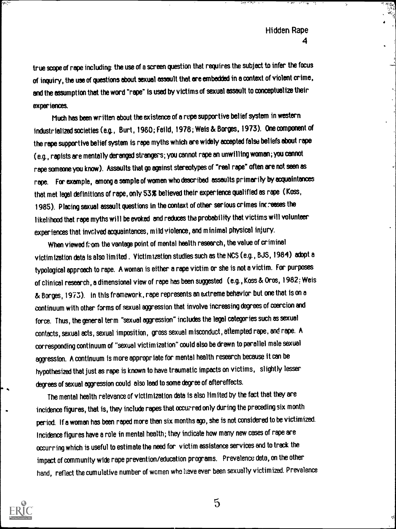$\cdot$ 

 $\frac{1}{4}$ 

true scope of rape including the use of a screen question that requires the subject to infer the focus of inquiry, the use of questions about sexual assault that areembedded in a context of violent crime, and the assumption that the word "rape" is used by victims of sexual assault to conceptualize their experiences.

Much has been written about the existence of a rape supportive belief system in western industrialized societies (e.g., Burt, 1980; Fetid, 1978; Weis& Borges, 1973). One component of the rape supportive belief system is rape myths which are widely accepted false beliefs about rape (e.g., rapists are mentally deranged strangers; you cannot rape an unwilling woman; you cannot rape someone you know). Assaults that go against stereotypes of "reel rape" often are not seen as rape. For example, among a sample of women who described assaults primarily by acquaintances that met legal definitions of rape, only 53Z believed their experience qualified as rape (Koss, 1985). Placing sexual assault questions in the context of other serious crimes increases the likelihood that rape myths will be evoked and reduces the probability that victims will volunteer experiences that involved acquaintances, mild yiolence, and minimal physical injury.

When viewed from the vantage point of mental health research, the value of criminal victimization data is also limited . Victimization studies such as the NCS (e.g., BJS, 1984) adopt a typological approach to rape. A woman is either a rape victim or she is not a victim. For purposes of clinical research, a dimensional view of rape has been suggested (e.g., Koss & Oros, 1982; Weis & Borges, 1973). In this framework, rape represents an extreme behavior but one that is on a continuum with other forms of sexual aggression that involve increasing degrees of coercion and force. Thus, the general term "sexual aggression" includes the legal categories such as sexual contacts, sexual acts, sexual imposition, gross sexual misconduct, attempted rape, and rape. A corresponding continuum of "sexual victimization" could also bedrawn to parallel male sexual aggression. A continuum is more appropriate for mental health research because it can be hypothesized that just as rape is known to have traumatic impacts on victims, slightly lesser degrees of sexual aggression could also lead to some degree of aftereffects.

The mental health relevance of victimization data is also limited by the fact that they are incidence figures, that is, they include rapes that occurredonly during the preceding six month period. If a woman has been raped more than six months ago, she is not considered to be victimized. Incidence figures have a role in mental health; they indicate how many new casesof rape are occurring which is useful to estimate the need for victim assistance services and to track the impact of community wide rape prevention/education programs. Prevalence data, on the other hand, reflect the cumulative number of women who have ever been sexually victimized. Prevalence



بمجمع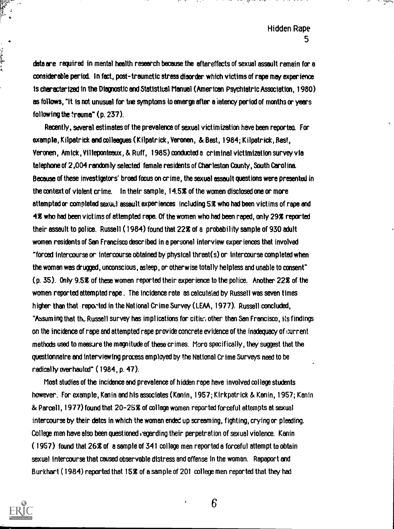data are required in mental health research because the aftereffects of sexual assault remain for a considerable period. In fact, post-traumatic stress disorder which victims of rape mey experience Is characterized In the Diagnostic and Statistical Manual (American Psychiatric Association, 1980) as follows, "It is not unusual for the symptoms to emerge after a latency period of months or years following the  $t$ rauma" (p. 237).

Recently, several estimates of the prevalence of sexual victimization have been reported. For example, Kilpatrick and colleagues (Kilpatrick, Veronen, & Best, 1984; Kilpatrick, Best, Veronen, Amick, Villeponteaux, & Ruff, 1985) conducted a criminal victimization survey via telephone of 2,004 randomly selected female residents of Charleston County, South Carolina. Because of these investigators' broad focus on crime, the sexual assault questions were presented in the context of violent crime. In their sample, 14.5% of the women disclosed one or more attempted or completed sexual assault experiences including 5% who had been victims of rape and 4% who had been victims of attempted rape. Of the women who had been raped, only 29% reported their assault to police. Russell (1984) found that 22% of a probability sample of 930 adult women residents of San Francisco described in a personal interview experiences that involved "forced intercourse or intercourse obtained by physical threat(s) or intercourse completed when the woman was drugged, unconscious, asleep, or otherwise totally helpless and unable to consent" ( p. 35). Only 9.5% of these women reported their experience to the police. Another 22% of the women reported attempted rape . The incidence rate as calculated by Russell was seven times higher than that reported in the National Crime Survey (LEAA, 1977). Russell concluded, "Assuming that th, Russell survey has implications for cities, other than San Francisco, its findings on the incidence of rape and attempted rape provide concrete evidence of the inadequacy of current methods used to meassire the magnitude of these crimes. More specifically, they suggest that the questionnaire and interviewing process employed by the National Crime Surveys need to be radically overhauled" (1984, p. 47).

Most studies of the incidence and prevalence of hidden rape have involved college students however. For example, Kanin and his associates ( Kanin , 1957; Kirkpatrick & Kanin, 1957; Kanin & PErtell, 1977) found that 20-25% of college women reported forceful attempts at sexual intercourse by their dates in which the woman ended up screaming, fighting, crying or pleading. College men have also been questioned , egarding their perpetration of sexual violence. Kanin ( 1957) found that 26% of a sample of 341 college men reported a forceful attempt to obtain sexual intercourse that caused observable distress and offense in the woman. Rapaport and Burkhart (1984) reported that 15% of a sample of 201 college men reported that they had



ra a shekarar 1980 kundi a shekarar 1980 kundi a shekarar 1980 kundi a shekarar 1980 kundi a shekarar 1980 ku<br>Barata ta 1980 kundi a shekarar 1980 kundi a shekarar 1980 kundi a shekarar 1980 kundi a shekarar 1980 kundi a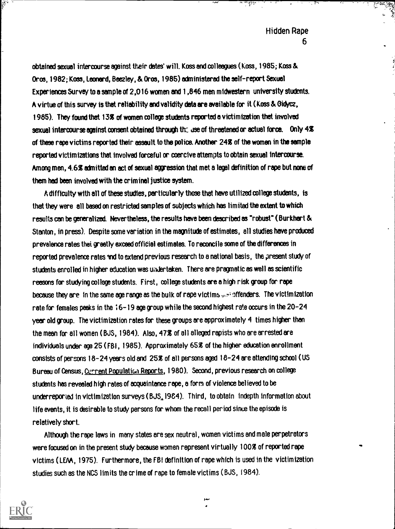$\ddot{\cdot}$ 

자주의

obtained sexual intercourse against their dates' will. Koss and colleagues (Koss, 1985; Koss & Oros, 1982; Koss, Leonard, Baez ley, & Oros, 1985) administered the self-report Sexual Experiences Survey to a sample of 2,016 women and 1,846 men midwestern university students. A virtue of this survey is that reliability and validity data are available for it (Koss & Oidycz, 1985). They found that 13% of women college students reported a victimization that involved sexual intercourse against consent obtained through th: dse of threatened or actual force. Only 4% of these rape victims reported their assault to the police. Another 24% of the women in the sample reported victimizations that involved forceful or coercive attempts to obtain sexual intercourse. Among men, 4.6% admitted an act of sexual aggression that met a legal definition of rape but none of them had been involved with the criminal justice system.

A difficulty with all of these studies, particularly those that have utilized college students, is that they were all based on restricted samples of subjects which has limited the extent to which results can be generalized Nevertheless, the results have been described as "robust" (Burkhart & Stanton, in press). Despite some variation in the magnitude of estimates, all studies have produced prevalence rates that greatly exceed official estimates. To reconcile some of the differences in reported prevalence rates and to extend previous research to a national basis, the present study of students enrolled in higher education was undertaken. There are pragmatic as well as scientific reasons for studying college students. First, college students are a high risk group for rape because they are in the same age range as the bulk of rape victims we offenders. The victimization rate for females peeks in the  $16-19$  age group while the second highest rate occurs in the  $20-24$ year old group. The victimization rates for these groups are approximately 4 times higher than the mean for all women (BJS, 1984). Also, 47% of all alleged rapists who are arrested are individuals under age 25 (FBI, 1985). Approximately 65% of the higher education enrollment consists of persons 18-24 years old and 25% of all persons aged 18-24 are attending school (US Bureau of Census, Current Population Reports, 1980). Second, previous research on college students has revealed high rates of acquaintance rape, a form of violence believed to be underreported in victimization surveys (BJS, 1984). Third, to obtain indepth information about life events, it is desirable to study persons for whom the recall period since the episode is relatively short.

Although the rape laws in many states are sex neutral, women victims and male perpetrators were focused on in the present study because women represent virtually 100% of reported rape victims (LEM, 1975). Furthermore, the FBI definition of rape which is used in the victimization studies such as the NCS limits the crime of rape to female victims (BJS, 1984).



हरू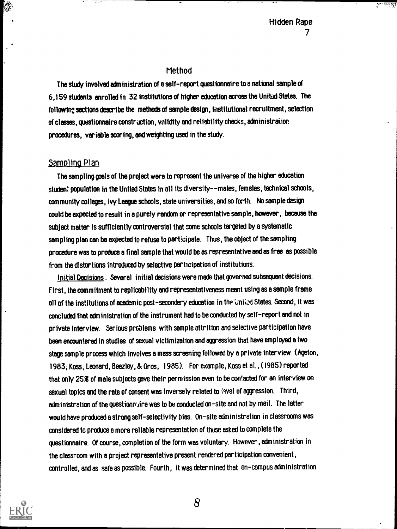وكوكبير رعان

#### Method

The study involved administration of a self-report questionnaire to a national sample of 6,159 students enrolled in 32 institutions of higher education across the United States. The following sections describe the methods of sample design, institutional recruitment, selection of classes, questionnaire construction, validity and reliability checks, administration procedures, variable scoring, and weighting used in the study.

#### Sampling Plan

Ç

The sampling goals of the project were to represent the universe of the higher education student' population in the United States in all its diversity- -males, females, technical schools, community colleges, Ivy League schools, state universities, and so forth. No sample design could be expected to result in a purely random or representative sample, however, because the subject matter is sufficiently controversial that some schools targeted by a systematic sampling plan can be expected to refuse to participate. Thus, the object of the sampling procedure was to produce a final sample that would be as representative and as free as possible from the distortions introduced by selective participation of institutions.

Initial Decisions . Several initial decisions were math that governed subsequent decisions. First, the commitment to replicability and representativeness meant using as a sample frame all of the institutions of academic post-secondery education in the 'united States. Second, it was concluded that administration of the instrument had to be conducted by self-report and not in private interview. Serious problems with sample attrition and selective participation have been encountered in studies of sexual victimization and aggression that have employed a two stage sample process which involves a mass screening followed by a private interview (Ageton, 1983; Koss, Leonard, Beezley, & Oros, 1985). For example, Koss et al., (1985) reported that only 25% of male subjects gave their permission even to be contacted for an interview on sexual topics and the rate of consent was inversely related to level of aggression. Third, administration of the questionnaire was to be conducted on-site and not by mail. The latter would have produced a strong self-selectivity bias. On-site administration in classrooms was considered to produce a more reliable representation of those asked to complete the questionnaire. Of course, completion of the form was voluntary. However, administration in the classroom with a project representative present rendered participation convenient, controlled, and as safe as possible. Fourth, it was determined that on-campus administration

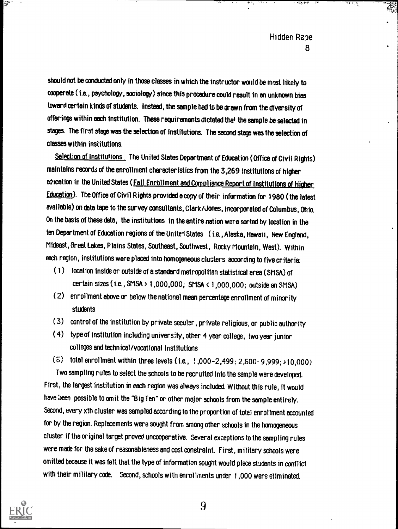$\overline{\mathcal{D}}$ 

should not be conducted only in those classes in which the instructor would be most likely to cooperate ( i.e., psychology, axiology) since this procedure could result in en unknown bias toward certain kinds of students. Instead, the sample had to be drawn from the diversity of offerings within each institution. These requirements dictated that the sample be selected in stages. The first stage was the selection of institutions. The second stage was the selection of classes within institutions.

Selection of Institutions. The United States Department of Education (Office of Civil Rights) maintains records of the enrollment characteristics from the 3,269 institutions of higher education in the United States (Fall Enrollment and Compliance Report of Institutions of Higher Education). The Office of Civil Rights provided a copy of their information for 1980 (the latest available) on data tape to the survey consultants, Clark/Jones, Incorporated of Columbus, Ohio. On the basis of these data, the institutions in the entire nation were sorted by location in the ten Department of Education regions of the Unite States (i.e., Alaska, Hawaii, New England, Mideast, Great Lakes, Plains States, Southeast, Southwest, Rocky Mountain, West). Within each region, institutions were placed into homogeneous clurters according to five criteria:

- ( 1) location inside or outside of a standard metropolitan statistical area (SMSA) of certain sizes ( i.e., SMSA ) 1,000,000; SMSA < 1,000,000; outside an SMSA)
- (2) enrollment above or below the national mean percentage enrollment of minority students
- ( 3) control of the institution by private secular, private religious, or public authority
- ( 4) type of institution including university, other 4 year college, two year junior colleges and technical/vocational institutions

(5) total enrollment within three levels (i.e., 1,000-2,499; 2,500- 9,999; >10,000) Two sampling rules to select the schools to be recruited into the sample were developed. First, the largest institution in each region was always included Without this rule, it would have been possible to omit the "Big Ten" or other major schools from the sample entirely. Second, every xth cluster was sampled according to the proportion of total enrollment accounted for by the region. Replacements were sought from smong other schools in the homogeneous cluster if the original target proved uncooperative. Several exceptions to the sampling rules were made for the sake of reasonableness and cost constraint. First, military schools were omitted because it was felt that the type of information sought would place students in conflict with their military code. Second, schools with enrollments under 1,000 were eliminated.



 $\mathbb{G}^{\star}$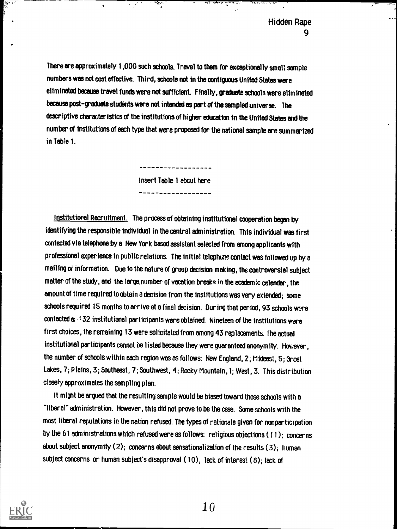There are approximately 1,000 such schools. Travel to them for exceptionally small sample numbers was not cost effective. Third, schools not in the contiguous United Stateswere eliminated because travel funds were not sufficient. Finally, graduate schools were eliminated because post-graduate students were not intended as pert of the sampled universe. The descriptive characteristics of the institutions of higher education in the United States and the number of institutions of each type that were proposed for the national sample are summarized in Table 1.

÷

Insert Table 1 about here

----------------

Institutional Recruitment. The process of obtaining institutional cooperation began by identifying the responsible individual in the central administration. This individual was first contacted via telephone by a New York based assistant selected from among applicants with professional experience in public relations. The initial telephone contact was followed up by a mailing of information. Due to the nature of group decision making, the controversial subject matter of the study, and the large number of vacation breaks in the academic calendar, the amount of time required to obtain a decision from the institutions was very extended; some schools required 15 months to arrive at a final decision. During that period, 93 schools were contacted a - 1 32 institutional participants were obtained. Nineteen of the institutions were first choices, the remaining 13 were solicitatcd from among 43 replacements. the actual institutional participants cannot be listed because they were guaranteed anonymity. However, the number of schools within each region was as follows: New England, 2; Mideast, 5; Orcet Lakes, 7; Plains, 3; Southeast, 7; Southwest, 4; Rocky Mountain, I; West, 3. This distribution closely approximates the sampling plan.

It might be argued that the resulting sample would be biased toward those schoolswith a "liberal" administration. However, this did not prove to be the case. Some schools with the most liberal reputations in the nation refused. The types of rationale given for nonparticipation by the 61 administrations which refused were as follows: religious objections (11); concerns about subject anonymity (2); concerns about sensationalization of the results (3); human subject concerns or human subject's disapproval ( 10), lack of interest (8); lack of



Š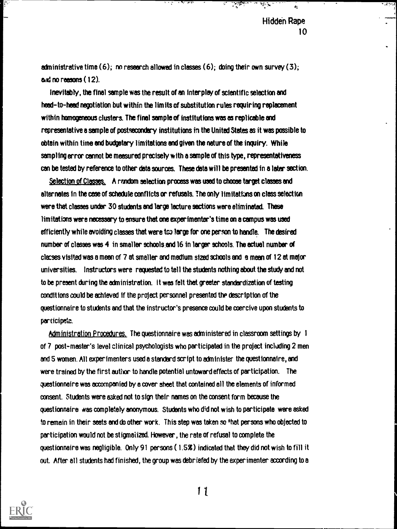<u> मुख्यालय सुन्ने ।</u>

administrative time  $(6)$ ; no research allowed in classes  $(6)$ ; doing their own survey  $(3)$ ; and no reasons (12).

Inevitably, the final sample was the result of an interplay of scientific selection and heed-to-head negotiation but within the limits of substitution rules requiring replacement within homogeneous clusters. The final sample of institutions was as repliceble and representative a sample of postsecondary institutions in the United States as it was possible to obtain within time and budgetary limitations and given the nature of the inquiry. While sampling error cannot be measured precisely with a sample of this type, representativeness can be tested by reference to other data sources. These data will be presented in a later section.

Selection of Classes. A random selection process was used to choose target classes and alternates in the case of schedule conflicts or refusals. The only limitations on class selection  $\,$ were that classes under 30 students and large lecture sections were eliminated. These limitations were necessary to ensure that one experimenter's time on a campus was used efficiently while avoiding classes that were tro large for one person to handle. The desired number of classes was 4 in smaller schools and 16 in larger schools. The actual number of clacses visited was a mean of 7 at smaller and medium sized schools and a mean of 12 at major universities. Instructors were requested to tell the students nothing about the study and not to be present during the administration. It was felt that greeter standardization of testing conditions could be achieved if the project personnel presented the description of the questionnaire to students and that the instructor's presence could be coercive upon students to participetc.

Administration Procedures. The questionnaire was administered in classroom settings by 1 of 7 post-master's level clinical psychologists who participated in the project including 2 men and 5 women. All experimenters used a standard script to administer the questionnaire, and were trained by the first author to handle potential untoward effects of participation. The questionnaire was accompanied by a cover sheet that contained all the elements of informed consent. Students were asked not to sign their names on the consent form because the questionnaire was completely anonymous. Students who did not wish to participate were asked to remain in their seats and do other work. This step was taken so that persons who objected to participation would not be stigmaiized. However, the rate of refusal to complete the questionnaire was negligible. Only 91 persons (1.5Z) indicated that they did not wish to fill it out. After all students had finished, the group was debriefed by the experimenter according to a



1Z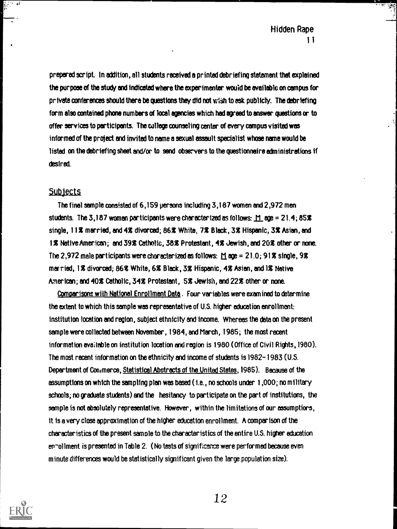B

prepared script. In addition, all students received a printed debriefing statement that explained the purpose of the study and indicated where the experimenter would be available on campus for private conferences should there be questions they did not wish to ask publicly. The debriefing form also contained phone numbers of local agencies which had agreed to answer questions or to offer services to participants. The college counseling center of every campus visited was informed of the project and invited to name a sexual assault specialist whose name would be listed on the debriefing sheet and/or to send observers to the questionnaire administrations if desired

#### **Subjects**

The final sample consisted of 6,159 persons including 3,187 women and 2,972 men students. The 3,187 women participants were characterized as follows:  $\underline{M}$  age = 21.4; 85% single, 11% married, and 4% divorced; 86X White, 7X Black, 3% Hispanic, 3X Asian, end 1% NativeAmericsi; and 39% Catholic, 38% Protestant, 4% Jewish, and 20% other or none. The 2,972 male participants were characterized as follows:  $\underline{M}$  age = 21.0; 91% single, 9% married, 1% divorced; 86% White, 6% Black, 3% Hispanic, 4% Asian, and IX Native American; and 40% Catholic, 34% Protestant, 5% Jewish, and 22% other or none.

Comparisons with National Enrollment Data. Four variables were examined to determine the extent to which this sample was representative of U.S. higher education enrollment: institution location and region, subject ethnicity and income. Whereas the data on the present sample were collected between November, 1984, and March, 1985; the most recent information available on institution location and region is 1980 (Office of Civil Rights,1980). The most recent information on the ethnicity and income of students is 1982-1983 (U.S. Department of Commerce, Statistical Abstracts of the United States, 1985). Because of the assumptions on which the sampling plan was based ( i.e., no schools under 1,000; no military schools; no graduate students) and the hesitancy to participate on the part of institutions, the sample is not absolutely representative. However, within the limitations of our assumptions, it is a very close approximation of the higher education enrollment. A comparison of the characteristics of the present sample to the characteristics of the entire U.S. higher education en-ollment is presented in Table 2. (No tests of signifies were performed because even minute differences would be statistically significant given the large population size).

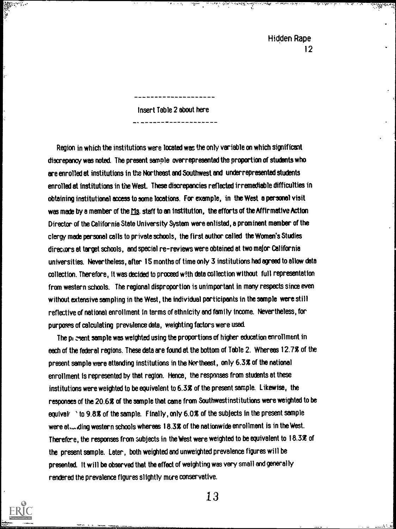**Programma** 

**Control** 

)<br>http://www.file.com/ware.html

Insert Table 2 about here ------**-------------**-

 $\overline{\mathbf{y}}$ 

キャッカー

Region in which the institutions were located was the only variable on which significant discrepancy was noted. The present sample overrepresented the proportion of students who are enrolled at institutions in the Northeast and Southwest and underrepresented students enrolled at institutions in the West. These discrepancies reflected irremediable difficulties in obtaining institutional access to some locations. For example, in the West a personal visit was made by a member of the Ms. staff to an institution, the efforts of the Affirmative Action Director of the California State University System were enlisted, a prominent member of the clergy made personal calls to private schools, the first author called the Women's Studies directors at target schools, and special re-reviews were obtained at two major California universities. Nevertheless, after 15 months of time only 3 institutions had agreed to allow data collection. Therefore, it was decided to proceed with data collection without full representation from western schools. The regional disproportion is unimportant in many respects since even without extensive sampling in the West, the individual participants in the sample were still reflective of national enrollment in terms of ethnicity and family income. Nevertheless, for purposes of calculating prevalence data, weighting factors were used

The pi went sample was weighted using the proportions of higher education enrollment in each of the federal regions. These data are found at the bottom of Table 2. Whereas 12.7% of the present sample were attending institutions in the Northeast, only 6.3% of the national enrollment is represented by that region. Hence, the responses from students at these institutions were weighted to be equivalent to 6.3% of the present sample. Likewise, the responses of the 20.6% of the sample that came from Southwest institutions were weighted to be equivalr ' to 9.8% of the sample. Finally, only 6.0% of the subjects in the present sample were at....ding western schools whereas 18.32 of the nationwide enrollment is in the West. Therefore, the responses from subjects in the West were weighted to be equivalent to 18.3% of the present sample. Later, both weighted and unweighted prevalence figures will be presented. It will be observed that the effect of weighting was very small and generally rendered the prevalence figures slightly mere conservative.

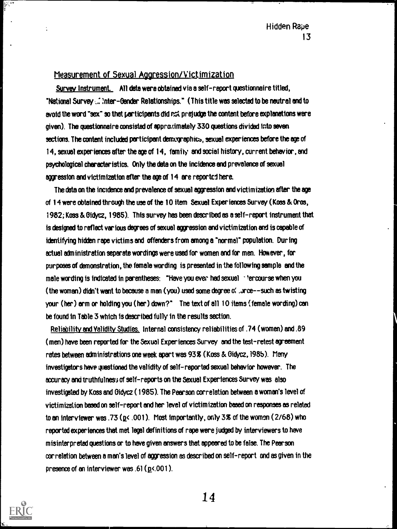#### Measurement of Sexual Aggression/Victimization

 $\ddot{\cdot}$ 

Survey Instrument. All data were obtained via a self-report questionnaire titled, "National Survey .,:Inter- Gender Relationships." (This title was selected to be neutral and to avoid the word "sex" so that participants did rzt prejudge the content before explanations were given). The questionnaire consisted of appratimately 330 questions divided into seven sections. The content included participant demegraphics, sexual experiences before the age of 14, sexual experiences after the age of 14, family and social history, current behavior, and psychological characteristics. Only the data on the incidence and prevalence of sexual aggression and victimization after the age of 14 are reported here.

The data on the incidence and prevalence of sexual aggression and victimization after the age of 14 were obtained through the use of the 10 item Sexual Experiences Survey (Koss &Oros, 1982; Koss & Oidycz, 1985). This survey has been described as a self-report instrument that is designed to reflect various degrees of sexual aggression and victimization and is capable of identifying hidden rape victims and offenders from among a "normal" population. During actual administration separate wordings were used for women and for men. However, for purposes of demonstration, the female wording is presented in the following sample and the male wording is indicated in parentheses: "Have you ever had sexual strecourse when you (the woman) didn't want to because a man (you) used some degree of .Jrce--such as twisting your (her) arm or holding you (her) down?" The text of all 10 items (female wording) can be found in Table 3 which is described fully in the results section.

Reliability and Validity Studies. Internal consistency reliabilities of .74 (women) and .89 ( men) have been reported for the Sexual Experiences Survey and the test-retest agreement rates between administrations one week apart was 93% (Koss & Gidycz, 1985). Many investigators have ausstioned the validity of self-reported sexual behavior however. The accuracy and truthfulness of self-reports on the Sexual Experiences Survey was also investigated by Koss and Oidycz (1985). The Pearson correlation between a woman's level of victimization based on self-report and her level of victimization based on responses as related to an interviewer was  $.73$  (p $\leq$  .001). Most importantly, only 3% of the women (2/68) who reported experiences that met legal definitions of rape were judged by interviewers to have misinterpreted questions or to have given answers that appeared to be false. The Pearson correlation between a man's level of aggression as described on self-report and as given in the presence of an interviewer was  $.61$  ( $p<.001$ ).

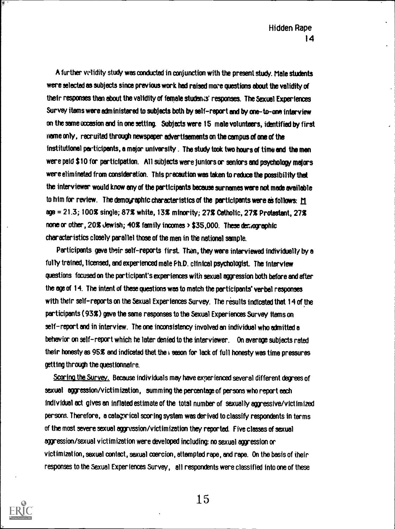A further velidity study was conducted in conjunction with the present study. Male students were selected as subjects since previous work had raised more questions about the validity of their responses than about the validity of female students' responses. The Sexual Experiences Survey items were administered to subjects both by self-report and by one-to-one interview on the same occasion and in one setting. Subjects were 15 male volunteers, identified by first name only, recruited through newspaper advertisements on the campus of one of the institutional participants, a major university . The study took two hours of time and the men were paid \$10 for participation. All subjects were juniors or seniors and psychology majors were eliminated from consideration. This precaution was taken to reduce the possibility that the interviewer would know any of the participants because surnames were not made available to him for review. The demographic characteristics of the participants were as follows: M age = 21.3; 100% single; 87% white, 13% minority; 27% Catholic, 27S Protestant, 27% none or other, 20% Jewish; 40% family incomes > \$35,000. These demographic characteristics closely parallel those of the men in the national sample.

Participants gave their self-reports first. Than, they were interviewed individualty by a fully trained, licensed, and experienced male Ph.D. clinical psychologist. The interview questions focused on the participant's experiences with sexual aggression both before and after the age of 14. The intent of these questions was to match the participants' verbal responses with their self-reports on the Sexual Experiences Survey. The results indicated that 14 of the participants (93%) gave the same responses to the Sexual Experiences Survey items on self-report and in interview. The one inconsistency involved an individual who admitted a behavior on self-report which he later denied to the interviewer. On average subjects rated their honesty as 95% and indicated that the seson for lack of full honesty was time pressures getting through the questionnaire.

Scoring the Survey. Because individuals may have experienced several different degrees of sexual aggression/victimization, summing the percentage of persons who report each individual act gives an inflated estimate of the total number of sexually aggressive/victimized persons. Therefore, a categorical scoring system was derived to classify respondents in terms of the most severe sexual aggression/victimization they reported. Five classes of sexual aggression/sexual victimization were developed including no sexual aggression or victimization, sexual contact, sexual coercion, attempted rape, and rape. On the basis of their responses to the Sexual Experiences Survey, all respondents were classified into one of these

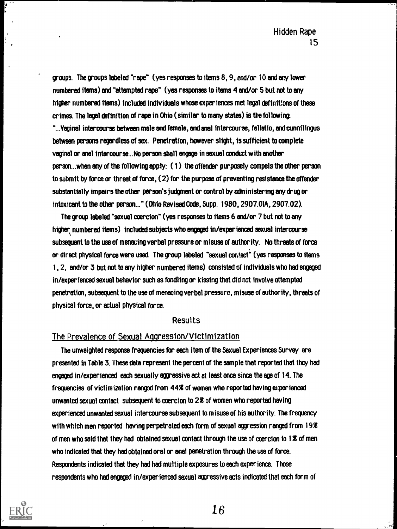groups. The groups labeled "rape" (yes responses to items 8, 9, end/or 10 and any lower numbered items) and "attempted rape" (yes responses to items 4 and/or 5 but not to any higher numbered items) included individuals whose experiences met legal definitions of these crimes. The legal definition of rape in Ohio (similar to many states) is the following: "...Vaginal intercourse between male and female, and anal intercourse, fellatio, and cunnilingus between persons regardless of sex. Penetration, however slight, is sufficient to complete vaginal or anal intercourse...No person shell engage in sexual conduct with another person...when any of the following apply: ( 1) the offender purposely compels the other person to submit by force or threat of force, (2) for the purpose of preventing resistance the offender substantially impairs the other person's judgment or control by administering any drug or intoxicant to the other person..." (Ohio Revised Code, Supp. 1980, 2907.01A, 2907.02).

The group labeled "sexual coercion" (yes responses to items 6 and/or 7 but not to any higher numbered items) included subjects who engaged in/experienced sexual intercourse subsequent to the use of menacing verbal pressure or misuse of authority. No threats of force or direct physical force were used The group labeled "sexual contect" (yes responses to items 1, 2, and/or 3 but not to any higher numbered items) consisted of individuals who had engaged in/experienced sexual behavior such as fondling or kissing that did not involve attempted penetration, subsequent to the use of menacing verbal pressure, misuse of authority, threats of physical force, or actual physical force.

#### Results

#### The Prevalence of Sexual Aaaression/Victimization

The unweighted response frequencies for each item of the Sexual Experiences Survey are presented in Table 3. These data represent the percent of the sample that reported that they had engaged in/experienced each sexually aggressive act at least once since the ape of 14. The frequencies of victimization ranged from 44X of women who reported having experienced unwanted sexual contact subsequent to coercion to 2% of women who reported having experienced unwanted sexual intercourse subsequent to misuse of his authority. The frequency with which men reported having perpetrated each form of sexual aggression ranged from 19% of men who said that they had obtained sexual contact through the use of coercion to I Z of men who indicated that they had obtained oral or anal penetration through the use of force. Respondents indicated that they had had multiple exposures to each experience. Those respondents who had engaged in/experienced sexual aggressive acts indicated that each form of

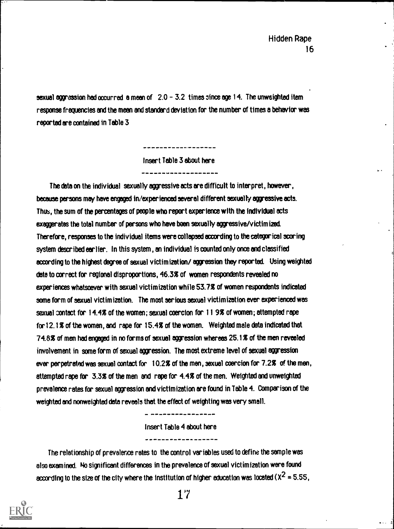$\sim 10^{-4}$ 

sexual aggression had occurred a mean of  $2.0 - 3.2$  times since age 14. The unweighted item response frequencies and the mean and standard deviation for the number of times a behavior was reported are contained in Table 3

> ----------------Insert Table 3 about here

The data on the individual sexually aggressive acts are difficult to interpret, however, because persons may have engaged in/experienced several different sexually aggressive acts. Thus, the sum of the percentages of people who report experience with the Individual acts exaggerates the total number of persons who have been sexually aggressive/victimized. Therefore, responses to the individual items were collapsed according to the categorical scoring system described earlier. In this system, en individual is counted only once and classified according to the highest degree of sexual victimization/ aggression they reported. Using weighted date to correct for regional disproportions, 46.3% of women respondents revealed no experiences whatsoever with sexual victimization while 53.7% of women respondents indicated some form of sexual victimization. The most serious sexual victimization ever experienced was sexual contact for 14.4% of the women; sexual coercion for 11 9% of women; attempted rape for12.1% of the women, and rape for 15.4% of the women. Weighted male data indicated that 74.8% of men had engaged in no forms of sexual aggression whereas 25.1Z of the men revealed involvement in some form of sexual aggression. The most extreme level of sexual aggression ever perpetrated was sexual contact for 10.2% of the men, sexual coercion for 7.2% of the men, attempted rape for 3.3% of the men and rape for 4.4% of the men. Weighted and unweighted prevalence rates for sexual aggression and victimization are found in Table 4. Comparison of the weighted and nonweighted data reveals that the effect of weighting was very small.

> ------------Insert Table 4 about here

> > ----------------

The relationship of prevalence rates to the control variables used to define the sample was also examined. No significant differences in the prevalence of sexual victimization were found according to the size of the city where the institution of higher education was located ( $X^2 = 5.55$ ,

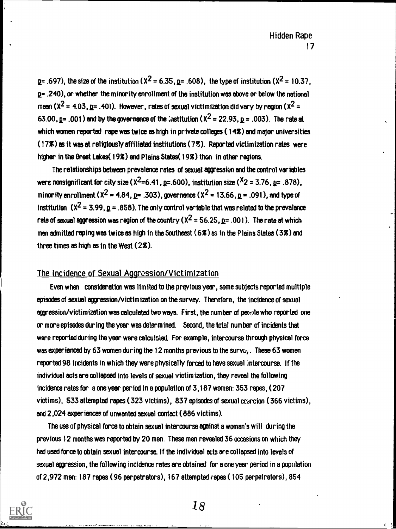$p=$  .697), the size of the institution ( $X^2 = 6.35$ ,  $p=$  .608), the type of institution ( $X^2 = 10.37$ ,  $p = .240$ ), or whether the minority enrollment of the institution was above or below the national mean ( $x^2$  = 4.03, p= .401). However, rates of sexual victimization did vary by region ( $x^2$  = 63.00, p= .001) and by the governance of the linstitution ( $X^2$  = 22.93, p = .003). The rate at which women reported rape was twice as high in private colleges ( 14%) and major universities (17%) as it was at religiously affiliated institutions (753). Reported victimization rates were higher in the Great Lakes(19%) and Plains States(19%) than in other regions.

The relationships between prevalence rates of sexual aggression and the control variables were nonsignificant for city size ( $X^2$ =6.41, <u>p</u>=.600), institution size ( $X^2$  = 3.76, <u>p</u>= .878), minority enrollment ( $X^2$  = 4.84, p= .303), governance ( $X^2$  = 13.66, p = .091), and type of institution  $(X^2 = 3.99, p = .858)$ . The only control variable that was related to the prevalence rate of sexual aggression was region of the country ( $X^2$  = 56.25, p= .001). The rate at which men admitted raping was twice as high in the Southeast (6%) as in the Plains States (3%) and three times as high as in the West (2%).

#### The Incidence of Sexual Aggression/Victimization

Even when consideration was limited to the previous year, some subjects reported multiple episodes of sexual aggression/victimization on the survey. Therefore, the incidence of sexual aggression/victimization was calculated two ways. First, the number of people who reported one or more episodes during the year was determined. Second, the total number of incidents that were reported during the year were calculsted. For example, intercourse through physical force was experienced by 63 women during the 12 months previous to the surv $c_2$ . These 63 women reported 98 incidents in which they were physically forced to have sexual intercourse. If the individual acts are collapsed into levels of sexual victimization, they reveal the following incidence rates for a one year period in a population of 3,187 women: 353 rapes, (207 victims), 533 attempted rapes (323 victims), 837 episodes of sexual coercion (366 victims), and 2,024 experiences of unwanted sexual contact (886 victims).

The use of physical force to obtain sexual intercourse against a woman's will during the previous 12 months was reported by 20 men. These men revealed 36 occasions on which they had used force to obtain sexual intercourse. If the individual acts are collapsed into levels of sexual aggression, the following incidence rates are obtained for a one year period in a population of 2,972 men: 187 rapes (96 perpetrators), 167 attempted rapes ( 105 perpetrators), 854

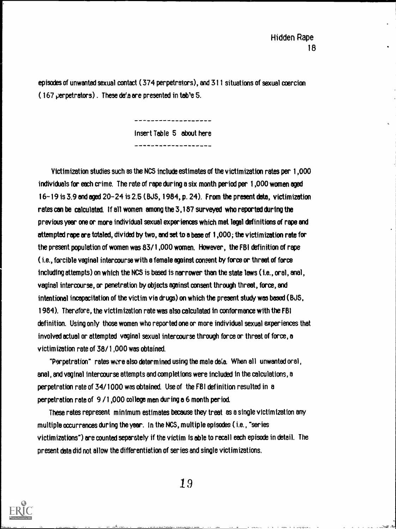episodes of unwanted sexual contact (374 perpetrstors), and 311 situations of sexual coercion  $(167 \mu$ erpetrators). These det a are presented in table 5.

Insert Table 5 about here

Victimization studies such as the NCS include estimates of the victimization rates per 1,000 individuals for each crime. The rate of rape during a six month period per 1,000 women aged 16-19 is 3.9 and aged 20-24 is 2.5 (BJS, 1984, p. 24). From the present data, victimization rates can be calculated. If all women among the 3,187 surveyed who reported during the previous year one or more individual sexual experiences which met legal definitions of rape and attempted rape are totaled, divided by two, and set to a base of 1,000; the victimization rate for the present population of women was 83/1,000 women. However, the FBI definition of rape ( i.e., forcible vaginal intercourse with a female against consent by force or threat of force including attempts) on which the NCS is based is narrower than the state laws (i.e., oral, anal, vaginal intercourse, or penetration by objects against consent through threat, force, and intentional incapacitation of the victim via drugs) on which the present study was based ( BJS, 1984). Therefore, the victimization rate was also calculated in conformance with the FBI definition. Using only those women who reported one or more individual sexual experiences that involved actual or attempted vaginal sexual intercourse through force or threat of force, a victimization rate of 38/1,000 was obtained.

"Perpetration" rates were also determined using the male de'ta. When all unwanted oral, anal, and vaginal intercourse attempts and completions were included in the calculations, a perpetration rate of 34/1000 was obtained. Use of the FBI definition resulted in a perpetration rate of 9 /1,000 college men during a 6 month period.

These rates represent minimum estimates because they treat as a single victimization any multiple occurrences during the year. In the NCS, multiple episodes ( i.e., "series victimizations") are counted separately if the victim is able to recall each episode in detail. The present data did not allow the differentiation of series and single victimizations.

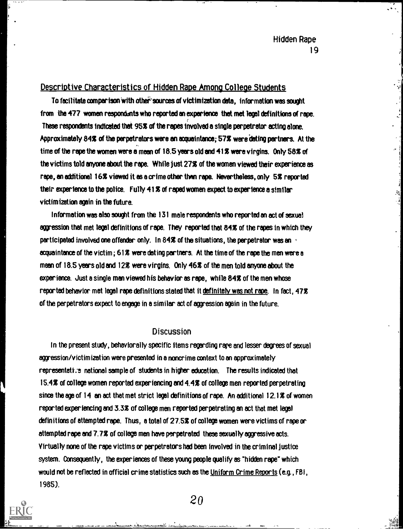$\frac{1}{2}$ 

#### Descriptive Characteristics of Hidden Rape Among College Students

To facilitate comparison with other'sources of victimization data, information was sought from the 477 women respondants who reported an experience that met legal definitions of rape. These respondents indicated that 95% of the rapes involved a single perpetrator acting alone. Approximately 84% of the perpetrators were an acquaintance; 57% were dating partners. At the time of the rape the women were a mean of 18.5 years old and 41% were virgins. Only 58% of the victims told anyone about the rape. While just 27% of the women viewed their experience as rape, en additional 16% viewed it as a crime other than rape. Nevertheless, only 5% reported their experience to the police. Fully 41% of raped women expect to experience a similar victimization again in the future

Information was also sought from the 131 male respondents who reported an act of sexual aggression that met legal definitions of rape. They reported that 84% of the rapes in which they participated involved one offender only. In 84% of the situations, the perpetrator was an acquaintance of the victim; 61% were dating partners. At the time of the rape the men were a mean of 18.5 years old and 12% were virgins. Only 46% of the men told anyone about the experience. Just a single man viewed his behavior as rape, while 84% of the men whose reported behavior met legal rape definitions stated that it definitely was not rape. In fact, 47% of the perpetrators expect to engage in a similar act of aggression again in the future.

#### **Discussion**

In the present study, behaviorally specific Items regarding rape and lesser degrees of sexual aggression/victimization were presented in a noncrime context to an approximately  $representative$  national sample of students in higher education. The results indicated that 15.4% of college women reported experiencing and 4.4% of college men reported perpetrating since the age of 14 an act that met strict legal definitions of rape. An additional 12.1% of women reported experiencing and 3.3% of college men reported perpetrating an act that met legs) definitions of attempted rape. Thus, a total of 27.5% of college women were victims of rape or attempted rape and 7.7% of college men have perpetrated these sexually aggressive acts. Virtually none of the rape victims or perpetrators had been Involved in the criminal justice system. Consequently, the experiences of these young people qualify as "hidden rape" which would not be reflected in official crime statistics such as the Uniform Crime Reports (e.g., FBI, 1985).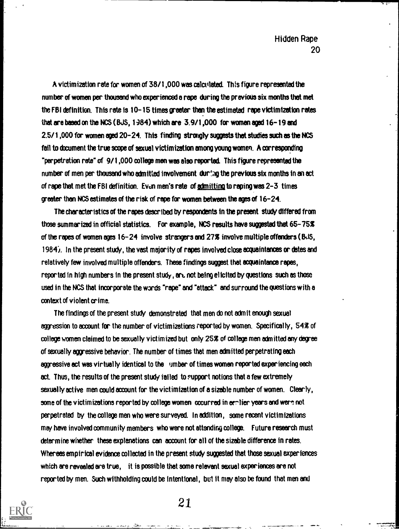A victimization rate for women of 38/1,000 was calculated This figure represented the number of women per thousand who experienced a rape during the previous six months that met the FBI definition. This rate is 10-15 times greeter then the estimated rape victimization rates that are based on the NCS (BJS, 1984) which are 3.9/1,000 for women aced 16-19 and 2.5/1,000 for women aged 20-24. This finding strongly suggests that studies such as the NCS fail to document the true scope of sexual victimization among young women. A corresponding "perpetration rate" of 9/1,000 college men was also reported This figure represented the number of men per thousand who admitted involvement during the previous six months in an act of rape that met the FBI definition. Evan men's rate of **admitting** to raping was  $2-3$  times greater than NCS estimates of the risk of rape for women between the ages of 16-24.

The characteristics of the rapes described by respondents in the present study differed from those summarized in official statistics. For example, NCS results have suggested that 65-75% of the rapes of women ages  $16-24$  involve strangers and  $27\%$  involve multiple offenders (BJS, 1984). In the present study, the vest majority of rapes involved close acquaintances or dates and relatively few involved multiple offenders. These findings suggest that acquaintance rapes, reported in high numbers in the present study, art. not being elicited by questions such as those used in the NCS that incorporate the words "rape" and "attack" and surround the questions with a context of violent crime.

The findings of the present study demonstrated that men do not admit enough sexual aggression to account for the number of victimization reported by women. Specifically, 54% of college women claimed to be sexually victimized but only 25% of college men admitted any degree of sexually aggressive behavior. The number of times that men admitted perpetrating each aggressive act was virtually identical to the Umber of times women reported experiencing each act. Thus, the results of the present study failed to support notions that a few extremely sexually active men could account for the victimization of a sizable number of women. Clearly, some of the victimizations reported by college women  $\,$  occurred in erritier years and were not perpetrated by the college men who were surveyed. In addition, some recent victimizations may have involved community members who were not attending college. Future research must determine whether these explanations can account for all of the sizable difference in rates. Whereas empirical evidence collected in the present study suggested that those sexual experiences which are revealed are true, it is possible that some relevant sexual experiences are not reported by men. Such withholding could be intentional, but it may also be found that men and

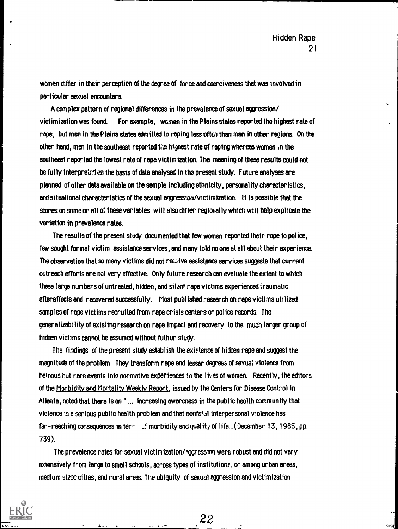women differ in their perception of the degree of force and coerciveness that was involved in particular sexual encounters.

A complex pattern of regional differences in the prevalence of sexual egression/ victimization was found. For example, wamen in the Plains states reported the highest rate of rape, but men in the Plains states admitted to raping less of than men in other regions. On the other hand, men in the southeast reported GIs hi, nest rate of raping whereas women ,n the southeast reported the lowest rate of rape victimization. The meaning of these results could not be fully interpreted on the basis of data analysed in the present study. Future analyses are planned of other data available on the sample including ethnicity, personality characteristics, and situational characteristics of the sexual efigressioa/victimization. It is possible that the scores on some or all of these variables will also differ regionally which will help explicate the variation in prevalence rates.

The results of the present study documented that few women reported their rape to police, few sought formal victim assistance services, and many told no one at all about their experience. The observation that so many victims did not rer.:iive assisterce services suggests that current outreach efforts are not very effective. Only future research can evaluate the extent to which these large numbers of untreated, hidden, and silant rape victims experienced traumatic aftereffects and recovered successfully. Most published research on rape victims utilized samples of rape victims recruited from rape crisis centers or police records. The general izability of existing research on rape impact end recovery to the much larger group of hidden victims cannot be assumed without futhur study.

The findings of the present study establish the existence of hidden rape and suggest the magnitude of the problem. They transform rape and lesser degrees of sexual violence from heinous but rare events into normative experiences in the lives of women. Recently, the editors of the <u>Morbidity and Mortality Weekly Report</u>, issued by the Centers for Disease Control in Atlanta, noted that there is an "... increasing awareness in the public health community that violence is a serious public health problem and that nonfatal interpersonal violence has far-reaching consequences in term  $\therefore$  morbidity and quality of life...(December 13, 1985, pp. 739).

The prevalence rates for sexual victimization/aggressinn were robust and did not vary extensively from large to small schools, across types of institutions, or among urban areas, medium sized cities, and rural areas. The ubiquity of sexuol aggression and victimization

22

 $\mathbf{r}$ 

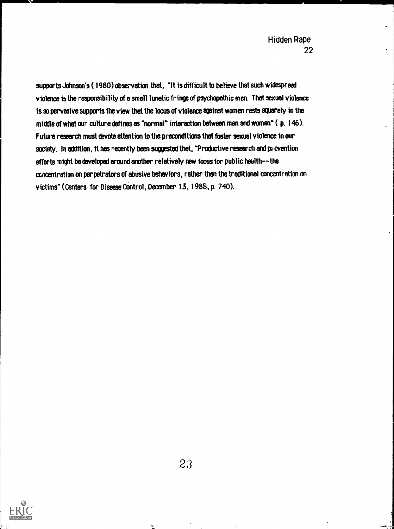supports Johnson's (1980) observation that, "It is difficult to believe that such widespread violence is the responsibility of a smell lunatic fringe of psychopathic men. That sexual violence is so pervasive supports the view that the locus of violence against women rests squarely in the middle of what our culture defines as "normal" interaction between men and women" ( p. 146). Future research must devote attention to the preconditions that foster sexual violence in our society. In addition, it has recently been suggested that, "Productive research and prevention efforts might be developed around another relatively new focus for public health- -the concentration on perpetrators of abusive behaviors, rather than the traditional concentration on victims" (Centers for Disease 0Ontrol , December 13, 1985, p. 740).

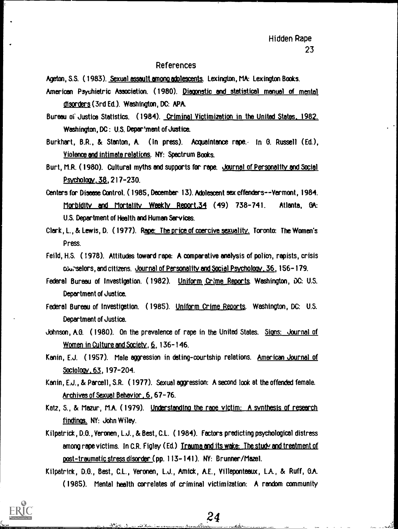#### References

- Ageton, S.S. (1983). Sexual assault among adolescents. Lexington, MA: Lexington Books.
- American Psychiatric Association. (1980). <u>Diagonstic and statistical manual of mental</u> disorders (3rd Ed.). Washington, DC: APA.
- Bureau of Justice Statistics. (1984). Criminal Victimization in the United States, 1982. Washington, DC: U.S. Department of Justice.
- Burkhart, B.R., & Stanton, A. (In press). Acquaintance rape. In O. Russell (Ed.), Violence and intimate relations. NY: Spectrum Books.
- Burt, M.R. (1980). Cultural myths and supports for rape. <u>Journal of Personality and Social</u>  $Ps$ ychology,  $38,217$ -230.
- Centers for Disease Control. (1985, December 13). Adolescent sex offenders--Vermont, 1984. Morbidity and Mortality Weekly Reoort.34 (49) 738-741. Atlanta, GA: U.S. Department of Health and Human Services.
- Clerk, L., & Lewis, D. (1977). Rape: The price of coercive sexuality. Toronto: The Women's Press.
- Feild, H.S. (1978). Attitudes toward rape: A comparative analysis of pollen, rapists, crisis courselors, and citizens. Journal of Personality and Social Psychology, 36,156-179.
- Federal Bureau of Investigation. (1982). Uniform Crime Reports. Washington, DC: U.S. Department of Justice.
- Federal Bureau of Investigation. (1985). Uniform Crime Reoorts. Washington, DC: U.S. Department of Justice.
- Johnson, AO. (1980). On the prevalence of rape in the United States. Signs: Journal of Women in Culture and Society,  $6, 136-146$ .
- Kanin, E.J. (1957). Male aggression in dating-courtship relations. American Journal of Sociology. 63,197-204.
- Kanin, E.J., & Parcel', S.R. (1977). Sexual aggression: A second look at the offended female. Archives of Sexual Behavior, 6,67-76.
- Katz, S., & Mazur, M.A. (1979). Understanding the race victim: A synthesis of research findings. NY: John Wiley.
- Kilpatrick, D.O., Veronen, L.J., & Best, C.L. (1984). Factors predicting psychological distress among rape victims. In C.R. Figley (Ed.) Trauma and its wake: The study and treatment of post-traumatic stress disorder (pp. 113-141). NY: Brunner/Mazel.

Kilpatrick, D.O., Best, C.L., Veronen, L.J., Amick, AE., Villeponteaux, LA, & Ruff, O.A. (1985). Mental health correlates of criminal victimization: A random community

Alban I

ملائقا با

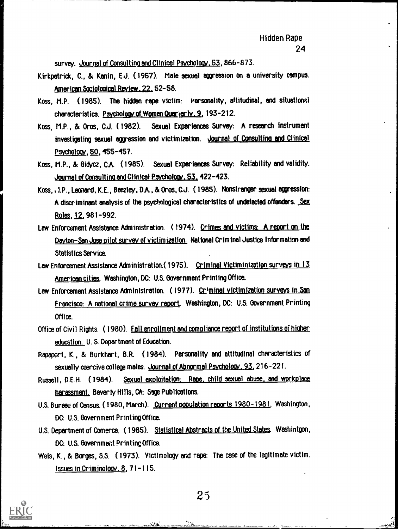survey. Journal of Consulting and Clinical Psychology, 53,866-873.

- Kirkpatrick, C., & Kanin, E.J. (1957). Male sexual aggression on a university campus. American Sociological Review, 22, 52-58.
- Koss, M.P. (1985). The hidden rape victim: Personality, attitudinal, and situational characteristics. Psychology of Women Quarterly. 9, 193-212.
- Koss, M.P., & Oros, C.J. (1982). Sexual Experiences Survey: A research instrument investigating sexual aggression and victimization. Journal of Consulting and Clinical, Psychology, EQ, 455-457.
- Koss, M.P., & Oidycz, C.A. (1985). Sexual Experiences Survey: Reliability and validity. Journal of Consultino and Clinical Psychology. 53,422-423.
- Koss, 1.P., Leonard, K.E. Beezley, DA, & Oros, C.J. (1985). Nonstranger sexual aggression: A discriminant analysis of the psychrilogicai characteristics of undetected offenders. Sex Roles, 12, 981-992.
- Law Enforcement Assistance Administration. (1974). Crimes and victims. A report on the Dayton-San Jose oilot survey of victimization. National Criminal Justice Information and Statistics Service.
- Law Enforcement Assistance Administration.( 1975). Criminal Victiminization surveys in 13. American cities. Washington, DC: U.S. Government Printing Office.
- Law Enforcement Assistance Administration. (1977). Goiminal victimization surveys in San Francisca A national crime survey report. Washington, DC: U.S. Government Printing Office.
- Office of Civil Rights. (1980). Fall enrollment and compliance report of institutions of higher education. U. S. Department of Education.
- Rapaport, K., & Burkhart, B.R. (1984). Personality and attitudinal characteristics of sexually coercive college males. Journal of Abnormal Psychology, 93, 216-221.
- Russell, D.E.H. (1984). Sexual exploitation: Rape, child sexual abuse, and workplace harassment. Beverly Hills, CA: Sage Publications.
- U.S. Bureau of Census. (1980, March). Current 000ulation reports 1980-1981. Washington, DC: U.S. Government Printing Office.
- U.S. Department of Comerce. (1985). Statistical Abstracts of the United States. Washintgon, DC: U.S. Government Printing Office.
- Weis, K., & Borges, S.S. (1973). Victimology and rape: The case of the legitimate victim. Issues in Criminology,  $8, 71-115$ .

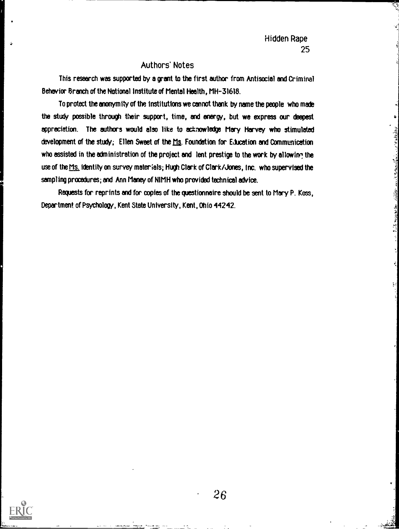1999年11月1日

and a Marian Con

 $\label{eq:3.1} \frac{\partial}{\partial t} \int_{\mathbb{R}^3} \left\langle \nabla \psi \right\rangle \left\langle \psi \right\rangle \left\langle \psi \right\rangle \left\langle \psi \right\rangle \left\langle \psi \right\rangle \left\langle \psi \right\rangle \left\langle \psi \right\rangle \left\langle \psi \right\rangle \left\langle \psi \right\rangle \left\langle \psi \right\rangle \left\langle \psi \right\rangle \left\langle \psi \right\rangle \left\langle \psi \right\rangle \left\langle \psi \right\rangle \left\langle \psi \right\rangle \left\langle \psi \right\rangle \left\langle \psi \right\rangle \left\langle \psi \right\rangle \left\langle \psi$ 

#### Authors' Notes

This research was supported by a grant to the first author from Antisocial and Criminal Behavior Branch of the Notional Institute of Mental Health, MH-31618.

To protect the anonymity of the institutions we cannot thank by name the people who mat the study possible through their support, time, and energy, but we express our deepest appreciation. The authors would also like to acknowledge Mary Harvey who stimulated development of the study; Ellen Sweet of the  $M_2$ . Foundation for Education and Communication who assisted in the administration of the project and lent prestige to the work by allowing the use of the <u>Ms.</u> identity on survey materials; Hugh Clark of Clark/Jones, Inc. who supervised the sampling procedures; and Ann Maney of NIMH who provided technical advice.

Requests for reprints and for copies of the questionnaire should be sent to Mary P. Koss, Department of Psychology, Kent State University, Kent, Ohio 44242.

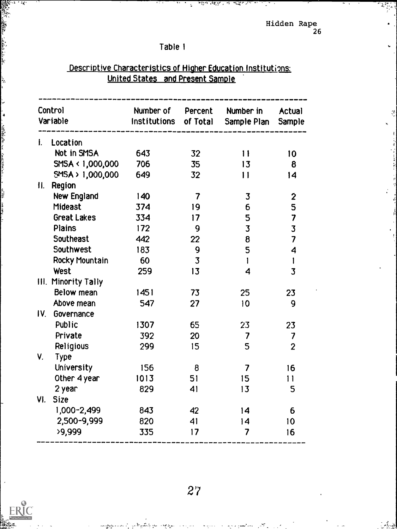$\mathcal{I}$ 

 $\pmb{\dagger}$ 

 $\overline{\phantom{a}}$ 

 $\epsilon$ 

### Table 1

### Descriptive Characteristics of Higher Education Institutions: United States and Present Sample

 $\ddot{\bullet}$ 

ন্দ্ৰনালয়ৰ এক কাইল দেৱ

| <b>i.</b> Location<br>Not in SMSA<br>643<br>32<br>$\mathbf{1}$           |                         |
|--------------------------------------------------------------------------|-------------------------|
|                                                                          |                         |
|                                                                          | 10                      |
| SMSA < 1,000,000<br>706<br>35<br>13                                      | $\bf{8}$                |
| 5MSA > 1,000,000<br>649<br>32<br>$\mathbf{11}$                           | 4                       |
| Region<br>II.                                                            |                         |
| New England<br>140<br>$\overline{\mathbf{3}}$<br>$\overline{\mathbf{7}}$ | $\mathbf{2}$            |
| Mideast<br>374<br>19<br>6                                                | 5                       |
| 5<br>Great Lakes<br>334<br>17                                            | $\overline{\mathbf{7}}$ |
| $\overline{\mathbf{3}}$<br>Plains<br>172<br>9                            | $\overline{3}$          |
| Southeast<br>8<br>442<br>22                                              | $\overline{\mathbf{z}}$ |
| Southwest<br>5<br>183<br>9                                               | $\overline{\mathbf{4}}$ |
| Rocky Mountain<br>$\overline{3}$<br>- 60<br>$\mathbf{I}$                 | $\mathbf{I}$            |
| 259<br>West<br>13<br>$\overline{\mathbf{4}}$                             | $\overline{\mathbf{3}}$ |
| III. Minority Tally                                                      |                         |
| Below mean<br>1451<br>73<br>25                                           | 23                      |
| Above mean<br>547<br>10<br>27                                            | 9                       |
| IV.<br>Governance                                                        |                         |
| Public<br>1307<br>65<br>23                                               | 23                      |
| Private<br>392<br>20<br>$\overline{\mathbf{7}}$                          | 7                       |
| <b>Religious</b><br>5<br>299<br>15                                       | $\overline{2}$          |
| V.<br>Type                                                               |                         |
| University<br>156<br>$8\phantom{1}$<br>$\overline{\mathbf{7}}$           | 16                      |
| Other 4 year<br>1013<br>51<br>15                                         | $\mathbf{1}$            |
| 2 year<br>829<br>41<br>13                                                | 5                       |
| VI.<br><b>Size</b>                                                       |                         |
| 1,000-2,499<br>843<br>42<br> 4                                           | 6                       |
| 2,500-9,999<br>820<br>41<br> 4                                           | 10                      |
| >9,999<br>335<br>$\overline{\mathbf{z}}$<br>17                           | 16                      |

砖

an din Kabupatén Kabupatén Jawa<br>Kabupatén Jawa Lindri

ا المنابع.<br>المنابع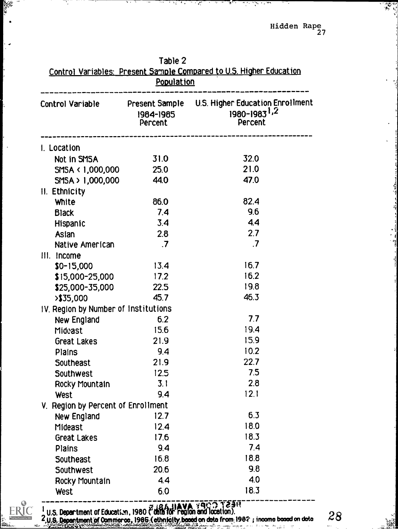| Population                           |                      |                                                                                        |  |  |  |  |  |  |
|--------------------------------------|----------------------|----------------------------------------------------------------------------------------|--|--|--|--|--|--|
| Control Variable                     | 1984-1985<br>Percent | Present Sample U.S. Higher Education Enrollment<br>1980-1983 <sup>1,2</sup><br>Percent |  |  |  |  |  |  |
| I. Location                          |                      |                                                                                        |  |  |  |  |  |  |
| Not in SMSA                          | 31.0                 | 32.0                                                                                   |  |  |  |  |  |  |
| SMSA < 1,000,000                     | 25.0                 | 21.0                                                                                   |  |  |  |  |  |  |
| SMSA > 1,000,000                     | 44.0                 | 47.0                                                                                   |  |  |  |  |  |  |
| <b>II.</b> Ethnicity                 |                      |                                                                                        |  |  |  |  |  |  |
| White                                | 86.0                 | 82.4                                                                                   |  |  |  |  |  |  |
| <b>Black</b>                         | 7.4                  | 9.6                                                                                    |  |  |  |  |  |  |
| Hispanic                             | 3.4                  | 4.4                                                                                    |  |  |  |  |  |  |
| Asian                                | 2.8                  | 2.7                                                                                    |  |  |  |  |  |  |
| Native American                      | $\cdot$ .7           | $\cdot$ 7                                                                              |  |  |  |  |  |  |
| III. Income                          |                      |                                                                                        |  |  |  |  |  |  |
| $$0-15,000$                          | 13.4                 | 16.7                                                                                   |  |  |  |  |  |  |
| $$15,000-25,000$                     | 17.2                 | 16.2                                                                                   |  |  |  |  |  |  |
| \$25,000-35,000                      | 22.5                 | 19.8                                                                                   |  |  |  |  |  |  |
| $>$ \$35,000                         | 45.7                 | 46.3                                                                                   |  |  |  |  |  |  |
| IV. Region by Number of Institutions |                      |                                                                                        |  |  |  |  |  |  |
| New England                          | 6.2                  | 7.7                                                                                    |  |  |  |  |  |  |
| Mideast                              | 15.6                 | 19.4                                                                                   |  |  |  |  |  |  |
| Great Lakes                          | 21.9                 | 15.9                                                                                   |  |  |  |  |  |  |
| Plains                               | 9.4                  | 10.2                                                                                   |  |  |  |  |  |  |
| Southeast                            | 21.9                 | 22.7                                                                                   |  |  |  |  |  |  |
| Southwest                            | 12.5                 | 7.5                                                                                    |  |  |  |  |  |  |
| Rocky Mountain                       | 3.1                  | 2.8                                                                                    |  |  |  |  |  |  |
| West                                 | 9.4                  | 12.1                                                                                   |  |  |  |  |  |  |
| V. Region by Percent of Enrollment   |                      |                                                                                        |  |  |  |  |  |  |
| New England                          | 12.7                 | 6.3                                                                                    |  |  |  |  |  |  |
| Mideast                              | 12.4                 | 18.0                                                                                   |  |  |  |  |  |  |
| Great Lakes                          | 17.6                 | 18.3                                                                                   |  |  |  |  |  |  |
| Plains                               | 9.4                  | 7.4                                                                                    |  |  |  |  |  |  |
| Southeast                            | 16.8                 | 18.8                                                                                   |  |  |  |  |  |  |
| Southwest                            | 20.6                 | 9.8                                                                                    |  |  |  |  |  |  |
| Rocky Mountain                       | 4.4                  | 4.0                                                                                    |  |  |  |  |  |  |
| West                                 | 6.0                  | 18.3                                                                                   |  |  |  |  |  |  |

 $\sqrt{2}$ 

 $\ddot{\cdot}$ 

 $\mathcal{L}$ ۰,

ī,

**RANGER** 

<u>RIC</u> d by ERIC

ر<br>زمان

Ξ,

Araman person

कुल<br>हैं पु

 $2.05$ , Department of Coucation, 1980.1. usia for Fegion and Ideation).<br>2.U.S. Department of Commerce, 1985.1. ethnicity booed on data from,1982 ; income booed on dote  $28$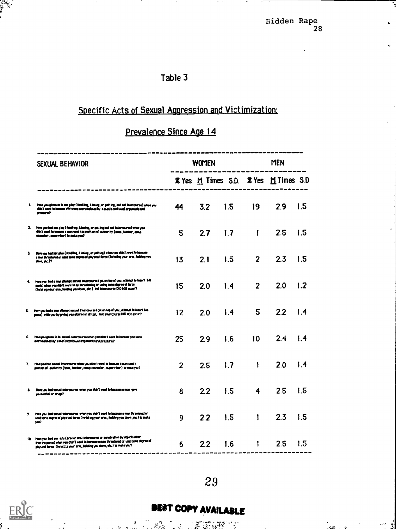:,

### Table 3

 $\mathbf{r}$ 

## Specific Acts of Sexual Aggression and Victimization:

### Prevalence Since Age 14

|           | SEXUAL BEHAVIOR                                                                                                                                                                                                                                            | <b>WOMEN</b>   |     |     | <b>MEN</b>     |                                             |          |
|-----------|------------------------------------------------------------------------------------------------------------------------------------------------------------------------------------------------------------------------------------------------------------|----------------|-----|-----|----------------|---------------------------------------------|----------|
|           |                                                                                                                                                                                                                                                            |                |     |     |                | <b>X</b> Yes M Times S.D. X Yes M Times S.D |          |
| L.        | How you given in to see play ( fording, kissing, or potting, but not intercourse) when you<br>didn't want to become YPP ware overwholesed by 4 men's continued arguments and<br>preserv?                                                                   | 44             | 3.2 | 1.5 | 19             | 2.9                                         | 1.5      |
|           | 2. Here you had set play (fording, klasing, or potting but not intercourse) when you<br>didn't want to become a man weed his profilen of author thy (been, loadear, comp<br>consider, supervisor) to make you?                                             | 5              | 2.7 | 1.7 | 1              | 2.5                                         | 1.5      |
|           | 3. How you had sex play ( finalling, klosing, or polling) when you didn't work to because<br>a men throatened or used some digree of physical force (twisting your erm, helding you<br>don, dc.77                                                          | 13             | 2.1 | 1.5 | $\overline{2}$ | 2.3                                         | <u>េ</u> |
|           | 4. How you had a man attampt sexual intercourse (got on top of you, attampt to insert. his<br>ponts) when you didn't work to by threatening or using some degree of ferce<br>(tristing year orm, helding you down, etc.) but intercent as DID HOT eccur?   | 15             | 2.0 | 1.4 | $\overline{2}$ | 2.0                                         | 1.2      |
|           | 5. Herryeu had a men allampt sensal intercourse (got an top of you, allompt to insert his<br>sena) with you by giving you alcehol or drugs, but intercourse DID NOT eccur?                                                                                 | 12             | 2.0 | 1.4 | 5              | 2.2                                         | 1.4      |
|           | 6. Here you given in to secuel intercourse when you didn't want to because you were<br>everyhelesd by a men's continuel engiments and pressure?                                                                                                            | 25             | 2.9 | 1.6 | 10             | 2.4                                         | 1.4      |
|           | 7. Here you had served intercourse when you didn't wont to because a men used it.<br>scettlen of authority (fices, leacher, comp counselor, supervisor) to make you?                                                                                       | $\overline{2}$ | 2.5 | 1.7 | $\mathbf{1}$   | 2.0                                         | 1.4      |
| $\bullet$ | How you had secual intercourse when you didn't went to because a man-gove<br>yeu sloshol er drugs?                                                                                                                                                         | 8              | 2.2 | 1.5 | 4              | 2.5                                         | 1.5      |
|           | 9 Here you had sexual intercourse when you didn't went to because a men threelened or<br>used some degree of physical force ( twisting your arm, holding you down, etc.) to make<br>yar?                                                                   | 9              | 2.2 | 1.5 | Ŧ              | 2.3                                         | 1.5      |
|           | 10 Hove you had sex acts (anal on avail intercourse on penstration by objects other<br>then the penile) when you didn't work to because a man threatened or used some degree of<br>physical force (twisting your arm, helding you down, etc.) to make you? | 6              | 2.2 | 1.6 | 1              | 2.5                                         | 1.5      |



n.

# BEST COPY AVAILABLE

14R, the company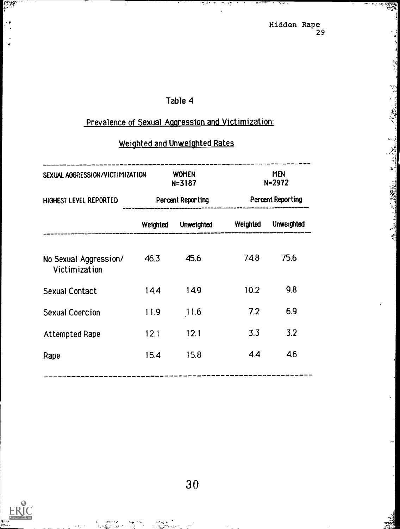HW.

est.

المجان المستخدم المعاني الأمر<br>المجان في الاستخدام المقابل المستخدم المستخدم المستخدم

## Table 4

## Prevalence of Sexual Aggression and Victimization:

## Weighted and Unweighted Rates

| SEXUAL AGGRESSION/VICTIMIZATION        |                   | <b>WOMEN</b><br>$N = 3187$ | <b>MEN</b><br>$N = 2972$<br><b>Percent Reporting</b> |                   |  |
|----------------------------------------|-------------------|----------------------------|------------------------------------------------------|-------------------|--|
| HIGHEST LEVEL REPORTED                 | Percent Reporting |                            |                                                      |                   |  |
|                                        | Weighted          | <b>Unweighted</b>          | Weighted                                             | <b>Unweighted</b> |  |
| No Sexual Aggression/<br>Victimization | 46.3              | 45.6                       | 74.8                                                 | 75.6              |  |
| Sexual Contact                         | 14.4              | 14.9                       | 10.2                                                 | 9.8               |  |
| Sexual Coercion                        | 11.9              | 11.6                       | 7.2                                                  | 6.9               |  |
| Attempted Rape                         | 12.1              | 12.1                       | 3.3                                                  | 3.2               |  |
| Rape                                   | 15.4              | 15.8                       | 4.4                                                  | 4.6               |  |
|                                        |                   |                            |                                                      |                   |  |



P